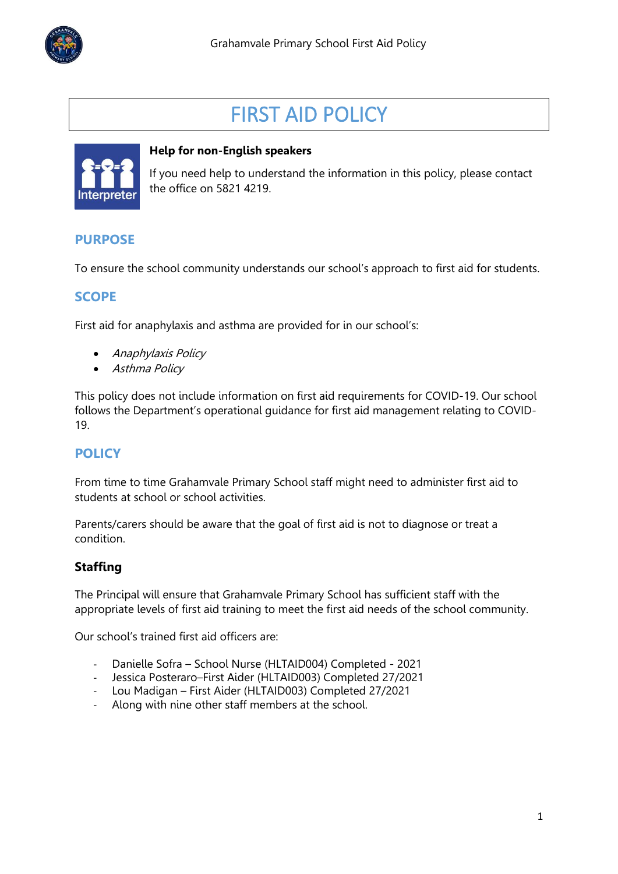

# FIRST AID POLICY



#### **Help for non-English speakers**

If you need help to understand the information in this policy, please contact the office on 5821 4219.

## **PURPOSE**

To ensure the school community understands our school's approach to first aid for students.

## **SCOPE**

First aid for anaphylaxis and asthma are provided for in our school's:

- Anaphylaxis Policy
- Asthma Policy

This policy does not include information on first aid requirements for COVID-19. Our school follows the Department's operational guidance for first aid management relating to COVID-19.

## **POLICY**

From time to time Grahamvale Primary School staff might need to administer first aid to students at school or school activities.

Parents/carers should be aware that the goal of first aid is not to diagnose or treat a condition.

#### **Staffing**

The Principal will ensure that Grahamvale Primary School has sufficient staff with the appropriate levels of first aid training to meet the first aid needs of the school community.

Our school's trained first aid officers are:

- Danielle Sofra School Nurse (HLTAID004) Completed 2021
- Jessica Posteraro–First Aider (HLTAID003) Completed 27/2021
- Lou Madigan First Aider (HLTAID003) Completed 27/2021
- Along with nine other staff members at the school.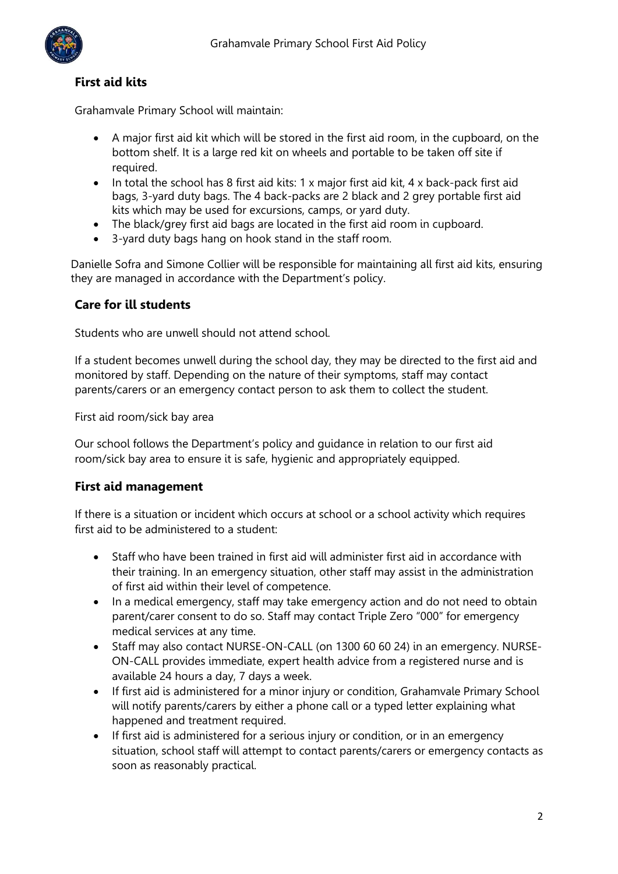

## **First aid kits**

Grahamvale Primary School will maintain:

- A major first aid kit which will be stored in the first aid room, in the cupboard, on the bottom shelf. It is a large red kit on wheels and portable to be taken off site if required.
- In total the school has 8 first aid kits: 1 x major first aid kit, 4 x back-pack first aid bags, 3-yard duty bags. The 4 back-packs are 2 black and 2 grey portable first aid kits which may be used for excursions, camps, or yard duty.
- The black/grey first aid bags are located in the first aid room in cupboard.
- 3-yard duty bags hang on hook stand in the staff room.

Danielle Sofra and Simone Collier will be responsible for maintaining all first aid kits, ensuring they are managed in accordance with the Department's policy.

#### **Care for ill students**

Students who are unwell should not attend school.

If a student becomes unwell during the school day, they may be directed to the first aid and monitored by staff. Depending on the nature of their symptoms, staff may contact parents/carers or an emergency contact person to ask them to collect the student.

First aid room/sick bay area

Our school follows the Department's policy and guidance in relation to our first aid room/sick bay area to ensure it is safe, hygienic and appropriately equipped.

#### **First aid management**

If there is a situation or incident which occurs at school or a school activity which requires first aid to be administered to a student:

- Staff who have been trained in first aid will administer first aid in accordance with their training. In an emergency situation, other staff may assist in the administration of first aid within their level of competence.
- In a medical emergency, staff may take emergency action and do not need to obtain parent/carer consent to do so. Staff may contact Triple Zero "000" for emergency medical services at any time.
- Staff may also contact NURSE-ON-CALL (on 1300 60 60 24) in an emergency. NURSE-ON-CALL provides immediate, expert health advice from a registered nurse and is available 24 hours a day, 7 days a week.
- If first aid is administered for a minor injury or condition, Grahamvale Primary School will notify parents/carers by either a phone call or a typed letter explaining what happened and treatment required.
- If first aid is administered for a serious injury or condition, or in an emergency situation, school staff will attempt to contact parents/carers or emergency contacts as soon as reasonably practical.